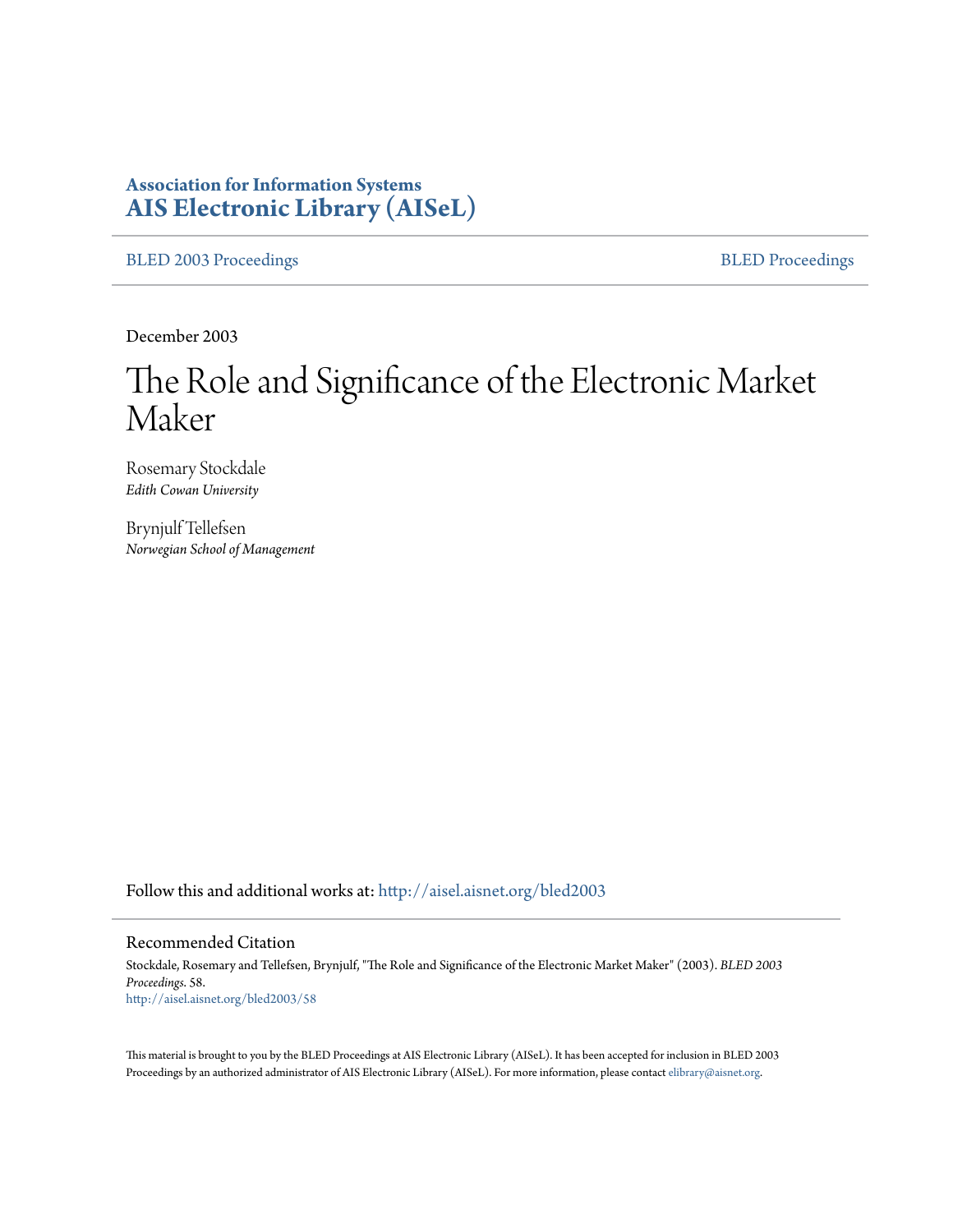# **Association for Information Systems [AIS Electronic Library \(AISeL\)](http://aisel.aisnet.org?utm_source=aisel.aisnet.org%2Fbled2003%2F58&utm_medium=PDF&utm_campaign=PDFCoverPages)**

[BLED 2003 Proceedings](http://aisel.aisnet.org/bled2003?utm_source=aisel.aisnet.org%2Fbled2003%2F58&utm_medium=PDF&utm_campaign=PDFCoverPages) **[BLED Proceedings](http://aisel.aisnet.org/bled?utm_source=aisel.aisnet.org%2Fbled2003%2F58&utm_medium=PDF&utm_campaign=PDFCoverPages)** 

December 2003

# The Role and Significance of the Electronic Market Maker

Rosemary Stockdale *Edith Cowan University*

Brynjulf Tellefsen *Norwegian School of Management*

Follow this and additional works at: [http://aisel.aisnet.org/bled2003](http://aisel.aisnet.org/bled2003?utm_source=aisel.aisnet.org%2Fbled2003%2F58&utm_medium=PDF&utm_campaign=PDFCoverPages)

#### Recommended Citation

Stockdale, Rosemary and Tellefsen, Brynjulf, "The Role and Significance of the Electronic Market Maker" (2003). *BLED 2003 Proceedings*. 58. [http://aisel.aisnet.org/bled2003/58](http://aisel.aisnet.org/bled2003/58?utm_source=aisel.aisnet.org%2Fbled2003%2F58&utm_medium=PDF&utm_campaign=PDFCoverPages)

This material is brought to you by the BLED Proceedings at AIS Electronic Library (AISeL). It has been accepted for inclusion in BLED 2003 Proceedings by an authorized administrator of AIS Electronic Library (AISeL). For more information, please contact [elibrary@aisnet.org](mailto:elibrary@aisnet.org%3E).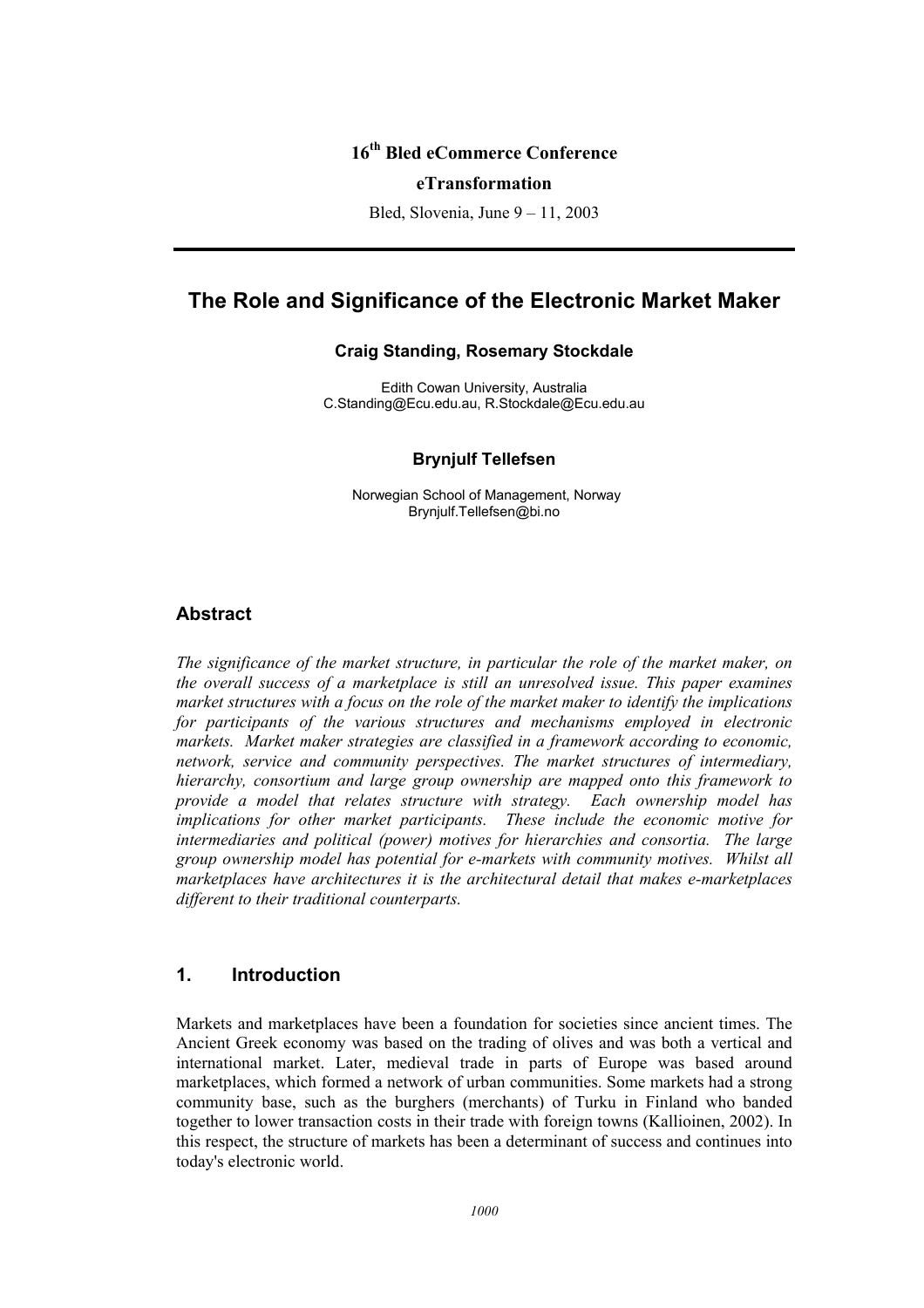# **16th Bled eCommerce Conference**

#### **eTransformation**

Bled, Slovenia, June 9 – 11, 2003

# **The Role and Significance of the Electronic Market Maker**

#### **Craig Standing, Rosemary Stockdale**

Edith Cowan University, Australia C.Standing@Ecu.edu.au, R.Stockdale@Ecu.edu.au

#### **Brynjulf Tellefsen**

Norwegian School of Management, Norway Brynjulf.Tellefsen@bi.no

#### **Abstract**

*The significance of the market structure, in particular the role of the market maker, on the overall success of a marketplace is still an unresolved issue. This paper examines market structures with a focus on the role of the market maker to identify the implications for participants of the various structures and mechanisms employed in electronic markets. Market maker strategies are classified in a framework according to economic, network, service and community perspectives. The market structures of intermediary, hierarchy, consortium and large group ownership are mapped onto this framework to provide a model that relates structure with strategy. Each ownership model has implications for other market participants. These include the economic motive for intermediaries and political (power) motives for hierarchies and consortia. The large group ownership model has potential for e-markets with community motives. Whilst all marketplaces have architectures it is the architectural detail that makes e-marketplaces different to their traditional counterparts.* 

# **1. Introduction**

Markets and marketplaces have been a foundation for societies since ancient times. The Ancient Greek economy was based on the trading of olives and was both a vertical and international market. Later, medieval trade in parts of Europe was based around marketplaces, which formed a network of urban communities. Some markets had a strong community base, such as the burghers (merchants) of Turku in Finland who banded together to lower transaction costs in their trade with foreign towns (Kallioinen, 2002). In this respect, the structure of markets has been a determinant of success and continues into today's electronic world.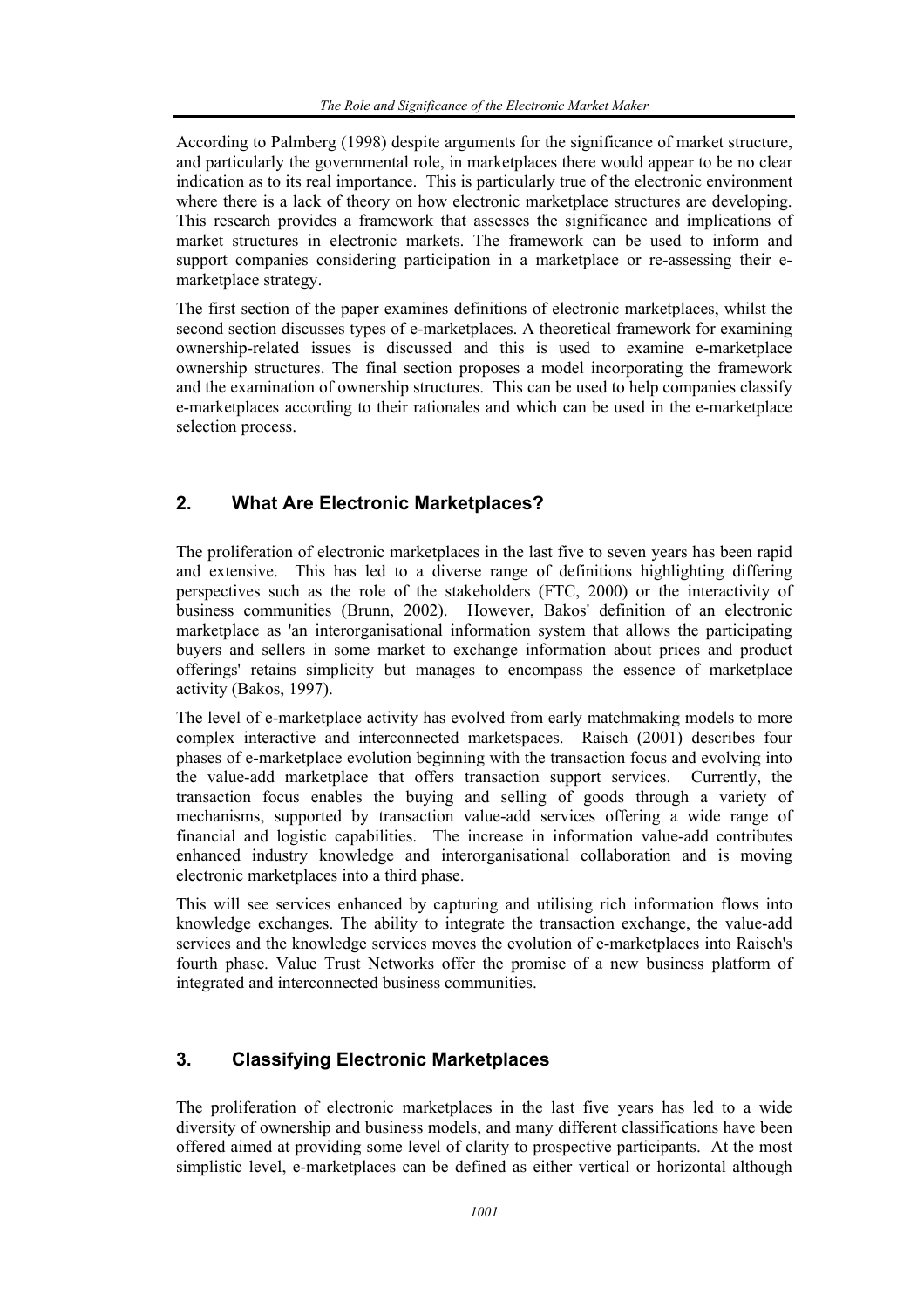According to Palmberg (1998) despite arguments for the significance of market structure, and particularly the governmental role, in marketplaces there would appear to be no clear indication as to its real importance. This is particularly true of the electronic environment where there is a lack of theory on how electronic marketplace structures are developing. This research provides a framework that assesses the significance and implications of market structures in electronic markets. The framework can be used to inform and support companies considering participation in a marketplace or re-assessing their emarketplace strategy.

The first section of the paper examines definitions of electronic marketplaces, whilst the second section discusses types of e-marketplaces. A theoretical framework for examining ownership-related issues is discussed and this is used to examine e-marketplace ownership structures. The final section proposes a model incorporating the framework and the examination of ownership structures. This can be used to help companies classify e-marketplaces according to their rationales and which can be used in the e-marketplace selection process.

# **2. What Are Electronic Marketplaces?**

The proliferation of electronic marketplaces in the last five to seven years has been rapid and extensive. This has led to a diverse range of definitions highlighting differing perspectives such as the role of the stakeholders (FTC, 2000) or the interactivity of business communities (Brunn, 2002). However, Bakos' definition of an electronic marketplace as 'an interorganisational information system that allows the participating buyers and sellers in some market to exchange information about prices and product offerings' retains simplicity but manages to encompass the essence of marketplace activity (Bakos, 1997).

The level of e-marketplace activity has evolved from early matchmaking models to more complex interactive and interconnected marketspaces. Raisch (2001) describes four phases of e-marketplace evolution beginning with the transaction focus and evolving into the value-add marketplace that offers transaction support services. Currently, the transaction focus enables the buying and selling of goods through a variety of mechanisms, supported by transaction value-add services offering a wide range of financial and logistic capabilities. The increase in information value-add contributes enhanced industry knowledge and interorganisational collaboration and is moving electronic marketplaces into a third phase.

This will see services enhanced by capturing and utilising rich information flows into knowledge exchanges. The ability to integrate the transaction exchange, the value-add services and the knowledge services moves the evolution of e-marketplaces into Raisch's fourth phase. Value Trust Networks offer the promise of a new business platform of integrated and interconnected business communities.

# **3. Classifying Electronic Marketplaces**

The proliferation of electronic marketplaces in the last five years has led to a wide diversity of ownership and business models, and many different classifications have been offered aimed at providing some level of clarity to prospective participants. At the most simplistic level, e-marketplaces can be defined as either vertical or horizontal although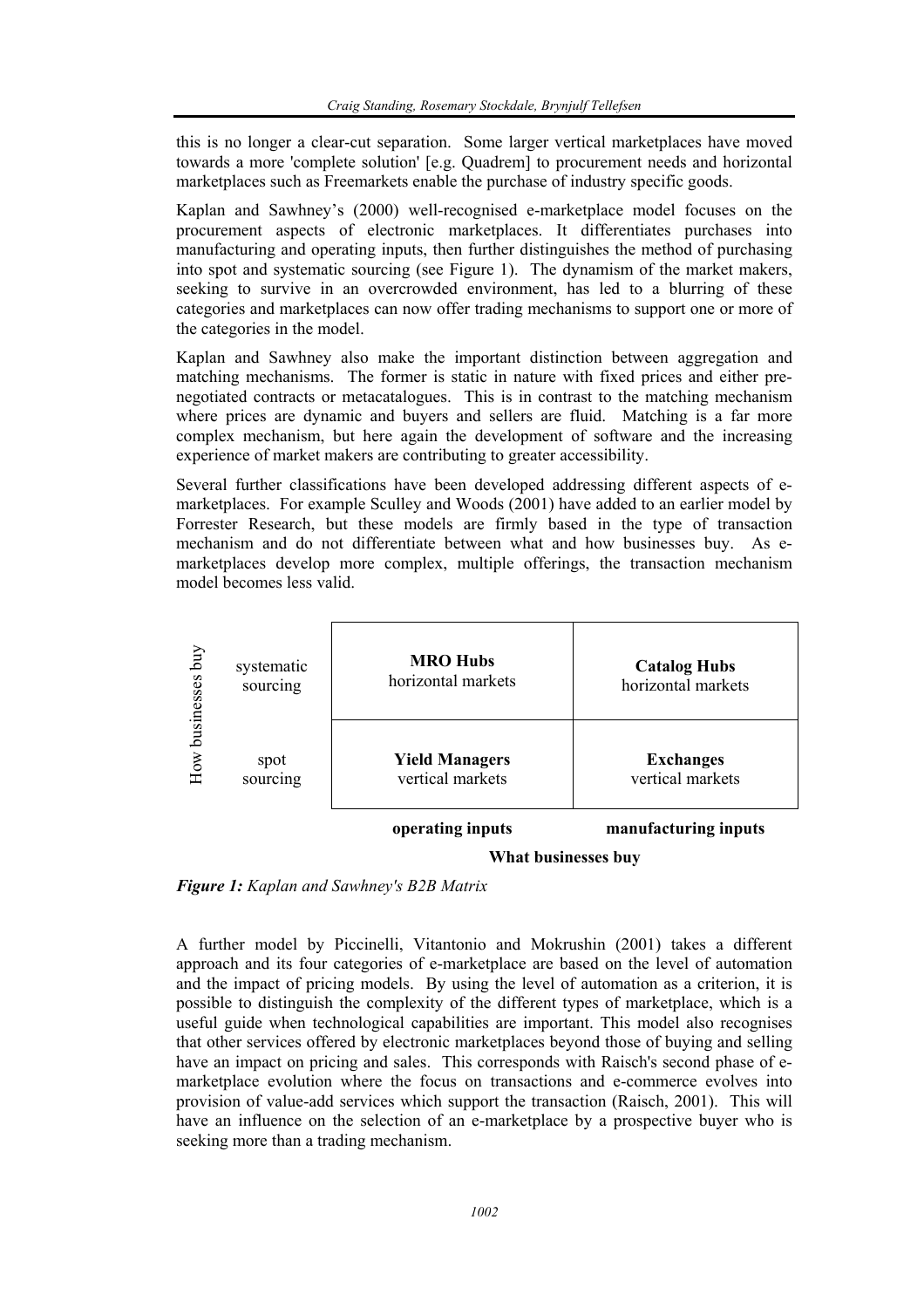this is no longer a clear-cut separation. Some larger vertical marketplaces have moved towards a more 'complete solution' [e.g. Quadrem] to procurement needs and horizontal marketplaces such as Freemarkets enable the purchase of industry specific goods.

Kaplan and Sawhney's (2000) well-recognised e-marketplace model focuses on the procurement aspects of electronic marketplaces. It differentiates purchases into manufacturing and operating inputs, then further distinguishes the method of purchasing into spot and systematic sourcing (see Figure 1). The dynamism of the market makers, seeking to survive in an overcrowded environment, has led to a blurring of these categories and marketplaces can now offer trading mechanisms to support one or more of the categories in the model.

Kaplan and Sawhney also make the important distinction between aggregation and matching mechanisms. The former is static in nature with fixed prices and either prenegotiated contracts or metacatalogues. This is in contrast to the matching mechanism where prices are dynamic and buyers and sellers are fluid. Matching is a far more complex mechanism, but here again the development of software and the increasing experience of market makers are contributing to greater accessibility.

Several further classifications have been developed addressing different aspects of emarketplaces. For example Sculley and Woods (2001) have added to an earlier model by Forrester Research, but these models are firmly based in the type of transaction mechanism and do not differentiate between what and how businesses buy. As emarketplaces develop more complex, multiple offerings, the transaction mechanism model becomes less valid.



**What businesses buy**

*Figure 1: Kaplan and Sawhney's B2B Matrix* 

A further model by Piccinelli, Vitantonio and Mokrushin (2001) takes a different approach and its four categories of e-marketplace are based on the level of automation and the impact of pricing models. By using the level of automation as a criterion, it is possible to distinguish the complexity of the different types of marketplace, which is a useful guide when technological capabilities are important. This model also recognises that other services offered by electronic marketplaces beyond those of buying and selling have an impact on pricing and sales. This corresponds with Raisch's second phase of emarketplace evolution where the focus on transactions and e-commerce evolves into provision of value-add services which support the transaction (Raisch, 2001). This will have an influence on the selection of an e-marketplace by a prospective buyer who is seeking more than a trading mechanism.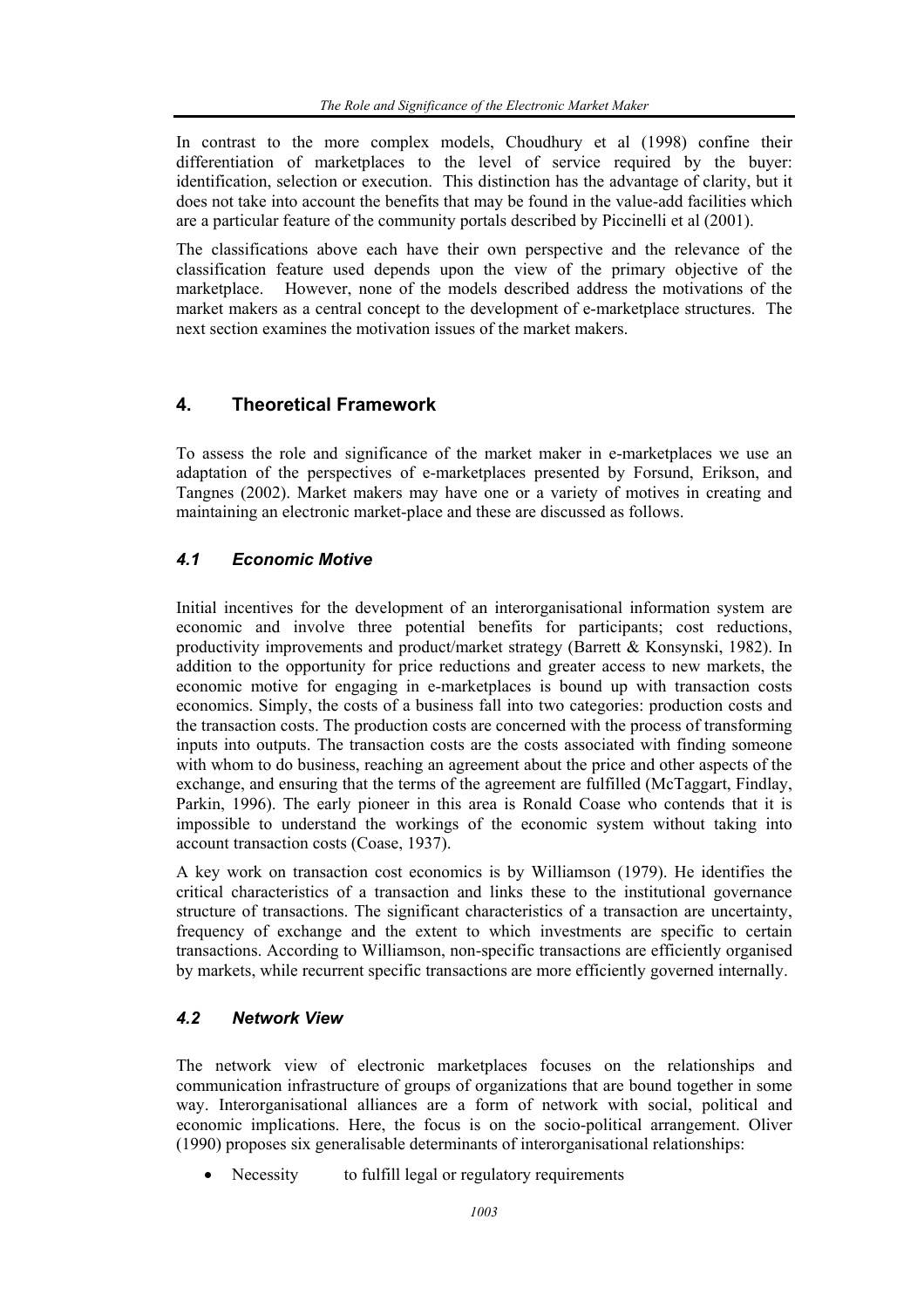In contrast to the more complex models, Choudhury et al (1998) confine their differentiation of marketplaces to the level of service required by the buyer: identification, selection or execution. This distinction has the advantage of clarity, but it does not take into account the benefits that may be found in the value-add facilities which are a particular feature of the community portals described by Piccinelli et al (2001).

The classifications above each have their own perspective and the relevance of the classification feature used depends upon the view of the primary objective of the marketplace. However, none of the models described address the motivations of the market makers as a central concept to the development of e-marketplace structures. The next section examines the motivation issues of the market makers.

# **4. Theoretical Framework**

To assess the role and significance of the market maker in e-marketplaces we use an adaptation of the perspectives of e-marketplaces presented by Forsund, Erikson, and Tangnes (2002). Market makers may have one or a variety of motives in creating and maintaining an electronic market-place and these are discussed as follows.

# *4.1 Economic Motive*

Initial incentives for the development of an interorganisational information system are economic and involve three potential benefits for participants; cost reductions, productivity improvements and product/market strategy (Barrett & Konsynski, 1982). In addition to the opportunity for price reductions and greater access to new markets, the economic motive for engaging in e-marketplaces is bound up with transaction costs economics. Simply, the costs of a business fall into two categories: production costs and the transaction costs. The production costs are concerned with the process of transforming inputs into outputs. The transaction costs are the costs associated with finding someone with whom to do business, reaching an agreement about the price and other aspects of the exchange, and ensuring that the terms of the agreement are fulfilled (McTaggart, Findlay, Parkin, 1996). The early pioneer in this area is Ronald Coase who contends that it is impossible to understand the workings of the economic system without taking into account transaction costs (Coase, 1937).

A key work on transaction cost economics is by Williamson (1979). He identifies the critical characteristics of a transaction and links these to the institutional governance structure of transactions. The significant characteristics of a transaction are uncertainty, frequency of exchange and the extent to which investments are specific to certain transactions. According to Williamson, non-specific transactions are efficiently organised by markets, while recurrent specific transactions are more efficiently governed internally.

# *4.2 Network View*

The network view of electronic marketplaces focuses on the relationships and communication infrastructure of groups of organizations that are bound together in some way. Interorganisational alliances are a form of network with social, political and economic implications. Here, the focus is on the socio-political arrangement. Oliver (1990) proposes six generalisable determinants of interorganisational relationships:

Necessity to fulfill legal or regulatory requirements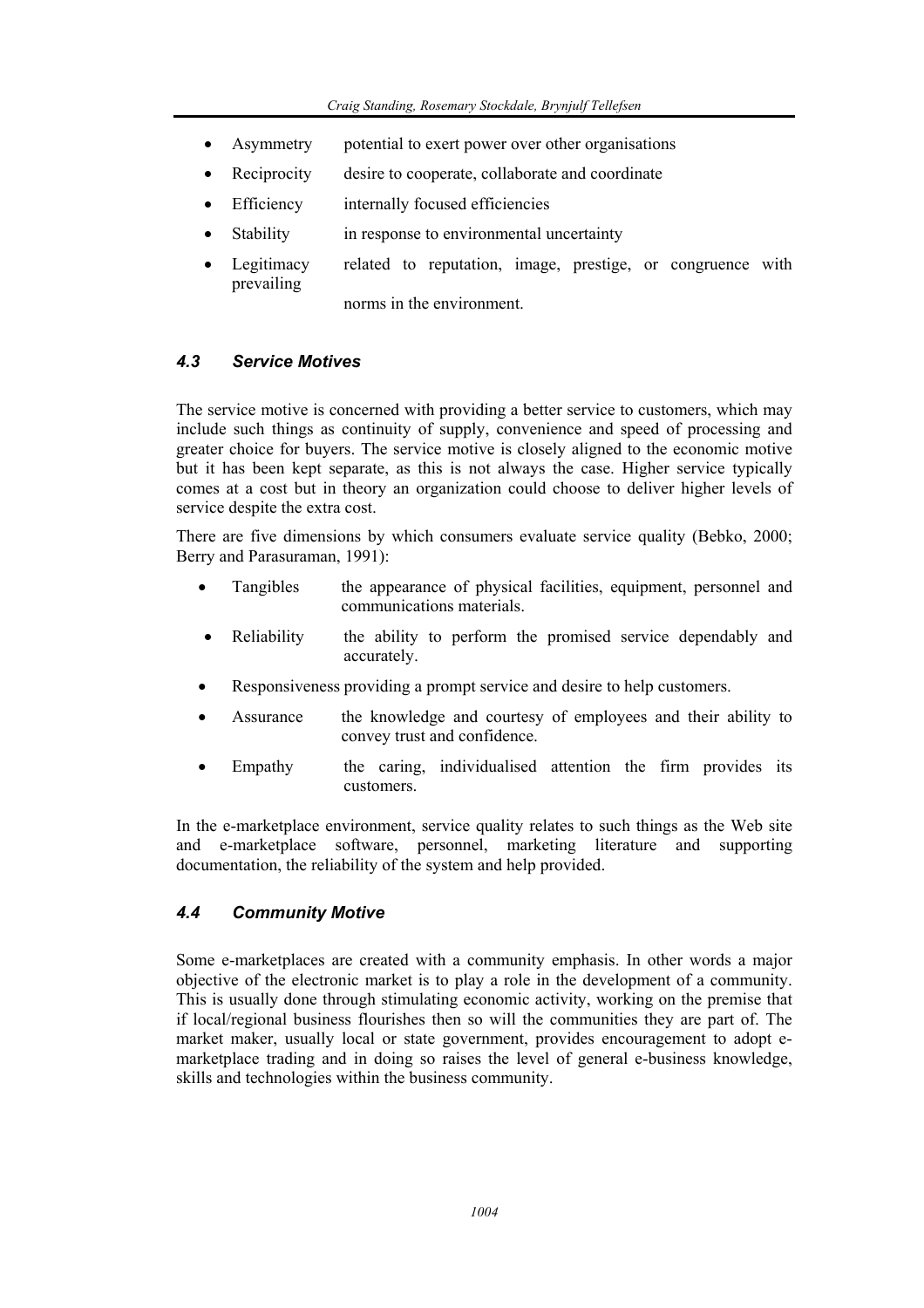- Asymmetry potential to exert power over other organisations
- Reciprocity desire to cooperate, collaborate and coordinate
- Efficiency internally focused efficiencies
- Stability in response to environmental uncertainty
- Legitimacy related to reputation, image, prestige, or congruence with prevailing norms in the environment.

# *4.3 Service Motives*

The service motive is concerned with providing a better service to customers, which may include such things as continuity of supply, convenience and speed of processing and greater choice for buyers. The service motive is closely aligned to the economic motive but it has been kept separate, as this is not always the case. Higher service typically comes at a cost but in theory an organization could choose to deliver higher levels of service despite the extra cost.

There are five dimensions by which consumers evaluate service quality (Bebko, 2000; Berry and Parasuraman, 1991):

- Tangibles the appearance of physical facilities, equipment, personnel and communications materials.
- Reliability the ability to perform the promised service dependably and accurately.
- Responsiveness providing a prompt service and desire to help customers.
- Assurance the knowledge and courtesy of employees and their ability to convey trust and confidence.
- Empathy the caring, individualised attention the firm provides its customers.

In the e-marketplace environment, service quality relates to such things as the Web site and e-marketplace software, personnel, marketing literature and supporting documentation, the reliability of the system and help provided.

# *4.4 Community Motive*

Some e-marketplaces are created with a community emphasis. In other words a major objective of the electronic market is to play a role in the development of a community. This is usually done through stimulating economic activity, working on the premise that if local/regional business flourishes then so will the communities they are part of. The market maker, usually local or state government, provides encouragement to adopt emarketplace trading and in doing so raises the level of general e-business knowledge, skills and technologies within the business community.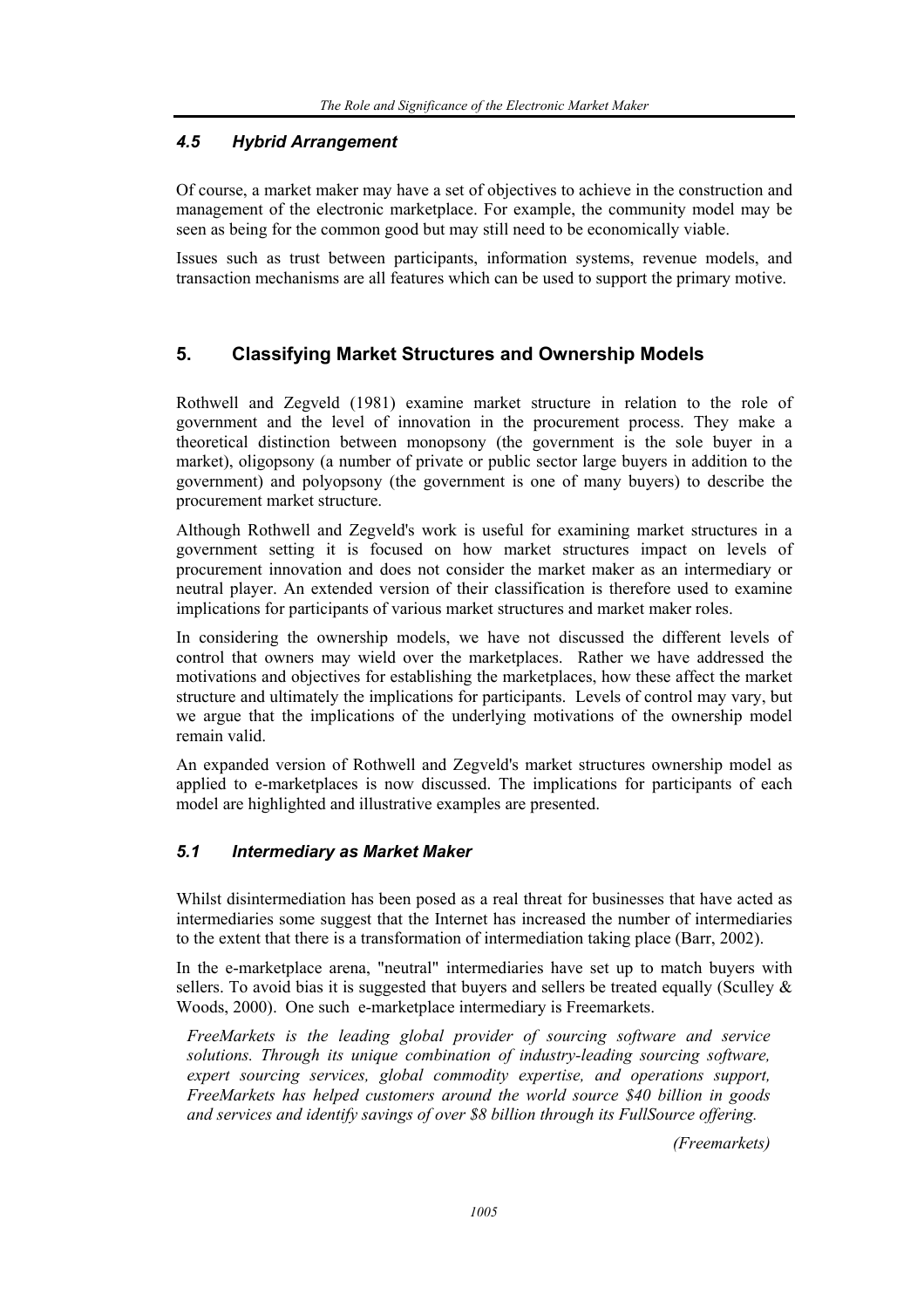# *4.5 Hybrid Arrangement*

Of course, a market maker may have a set of objectives to achieve in the construction and management of the electronic marketplace. For example, the community model may be seen as being for the common good but may still need to be economically viable.

Issues such as trust between participants, information systems, revenue models, and transaction mechanisms are all features which can be used to support the primary motive.

# **5. Classifying Market Structures and Ownership Models**

Rothwell and Zegveld (1981) examine market structure in relation to the role of government and the level of innovation in the procurement process. They make a theoretical distinction between monopsony (the government is the sole buyer in a market), oligopsony (a number of private or public sector large buyers in addition to the government) and polyopsony (the government is one of many buyers) to describe the procurement market structure.

Although Rothwell and Zegveld's work is useful for examining market structures in a government setting it is focused on how market structures impact on levels of procurement innovation and does not consider the market maker as an intermediary or neutral player. An extended version of their classification is therefore used to examine implications for participants of various market structures and market maker roles.

In considering the ownership models, we have not discussed the different levels of control that owners may wield over the marketplaces. Rather we have addressed the motivations and objectives for establishing the marketplaces, how these affect the market structure and ultimately the implications for participants. Levels of control may vary, but we argue that the implications of the underlying motivations of the ownership model remain valid.

An expanded version of Rothwell and Zegveld's market structures ownership model as applied to e-marketplaces is now discussed. The implications for participants of each model are highlighted and illustrative examples are presented.

# *5.1 Intermediary as Market Maker*

Whilst disintermediation has been posed as a real threat for businesses that have acted as intermediaries some suggest that the Internet has increased the number of intermediaries to the extent that there is a transformation of intermediation taking place (Barr, 2002).

In the e-marketplace arena, "neutral" intermediaries have set up to match buyers with sellers. To avoid bias it is suggested that buyers and sellers be treated equally (Sculley  $\&$ Woods, 2000). One such e-marketplace intermediary is Freemarkets.

*FreeMarkets is the leading global provider of sourcing software and service solutions. Through its unique combination of industry-leading sourcing software, expert sourcing services, global commodity expertise, and operations support, FreeMarkets has helped customers around the world source \$40 billion in goods and services and identify savings of over \$8 billion through its FullSource offering.* 

*(Freemarkets)*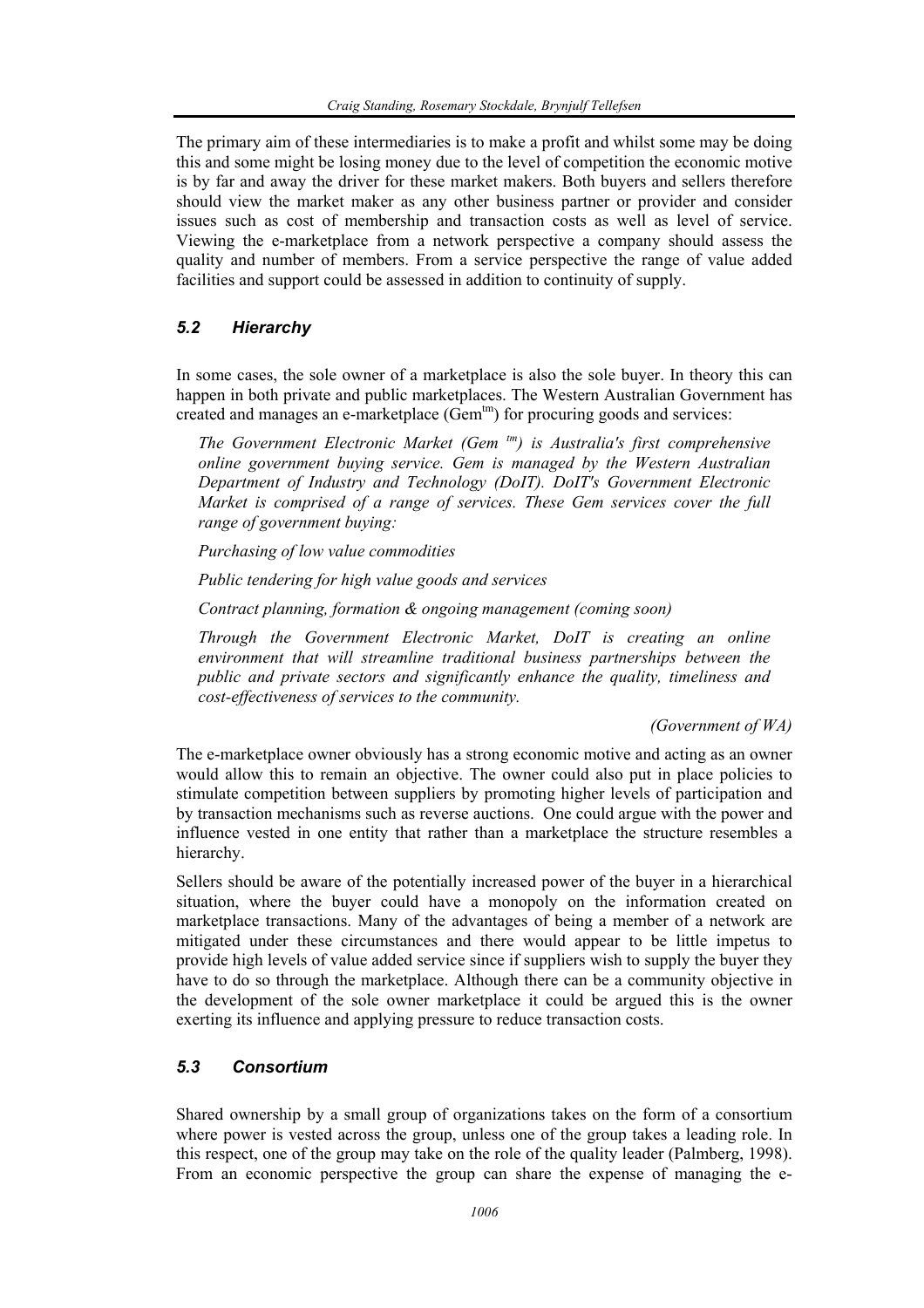The primary aim of these intermediaries is to make a profit and whilst some may be doing this and some might be losing money due to the level of competition the economic motive is by far and away the driver for these market makers. Both buyers and sellers therefore should view the market maker as any other business partner or provider and consider issues such as cost of membership and transaction costs as well as level of service. Viewing the e-marketplace from a network perspective a company should assess the quality and number of members. From a service perspective the range of value added facilities and support could be assessed in addition to continuity of supply.

## *5.2 Hierarchy*

In some cases, the sole owner of a marketplace is also the sole buyer. In theory this can happen in both private and public marketplaces. The Western Australian Government has created and manages an e-marketplace (Gem<sup>tm</sup>) for procuring goods and services:

*The Government Electronic Market (Gem tm) is Australia's first comprehensive online government buying service. Gem is managed by the Western Australian Department of Industry and Technology (DoIT). DoIT's Government Electronic Market is comprised of a range of services. These Gem services cover the full range of government buying:* 

*Purchasing of low value commodities* 

*Public tendering for high value goods and services* 

*Contract planning, formation & ongoing management (coming soon)* 

*Through the Government Electronic Market, DoIT is creating an online environment that will streamline traditional business partnerships between the public and private sectors and significantly enhance the quality, timeliness and cost-effectiveness of services to the community.* 

*(Government of WA)* 

The e-marketplace owner obviously has a strong economic motive and acting as an owner would allow this to remain an objective. The owner could also put in place policies to stimulate competition between suppliers by promoting higher levels of participation and by transaction mechanisms such as reverse auctions. One could argue with the power and influence vested in one entity that rather than a marketplace the structure resembles a hierarchy.

Sellers should be aware of the potentially increased power of the buyer in a hierarchical situation, where the buyer could have a monopoly on the information created on marketplace transactions. Many of the advantages of being a member of a network are mitigated under these circumstances and there would appear to be little impetus to provide high levels of value added service since if suppliers wish to supply the buyer they have to do so through the marketplace. Although there can be a community objective in the development of the sole owner marketplace it could be argued this is the owner exerting its influence and applying pressure to reduce transaction costs.

## *5.3 Consortium*

Shared ownership by a small group of organizations takes on the form of a consortium where power is vested across the group, unless one of the group takes a leading role. In this respect, one of the group may take on the role of the quality leader (Palmberg, 1998). From an economic perspective the group can share the expense of managing the e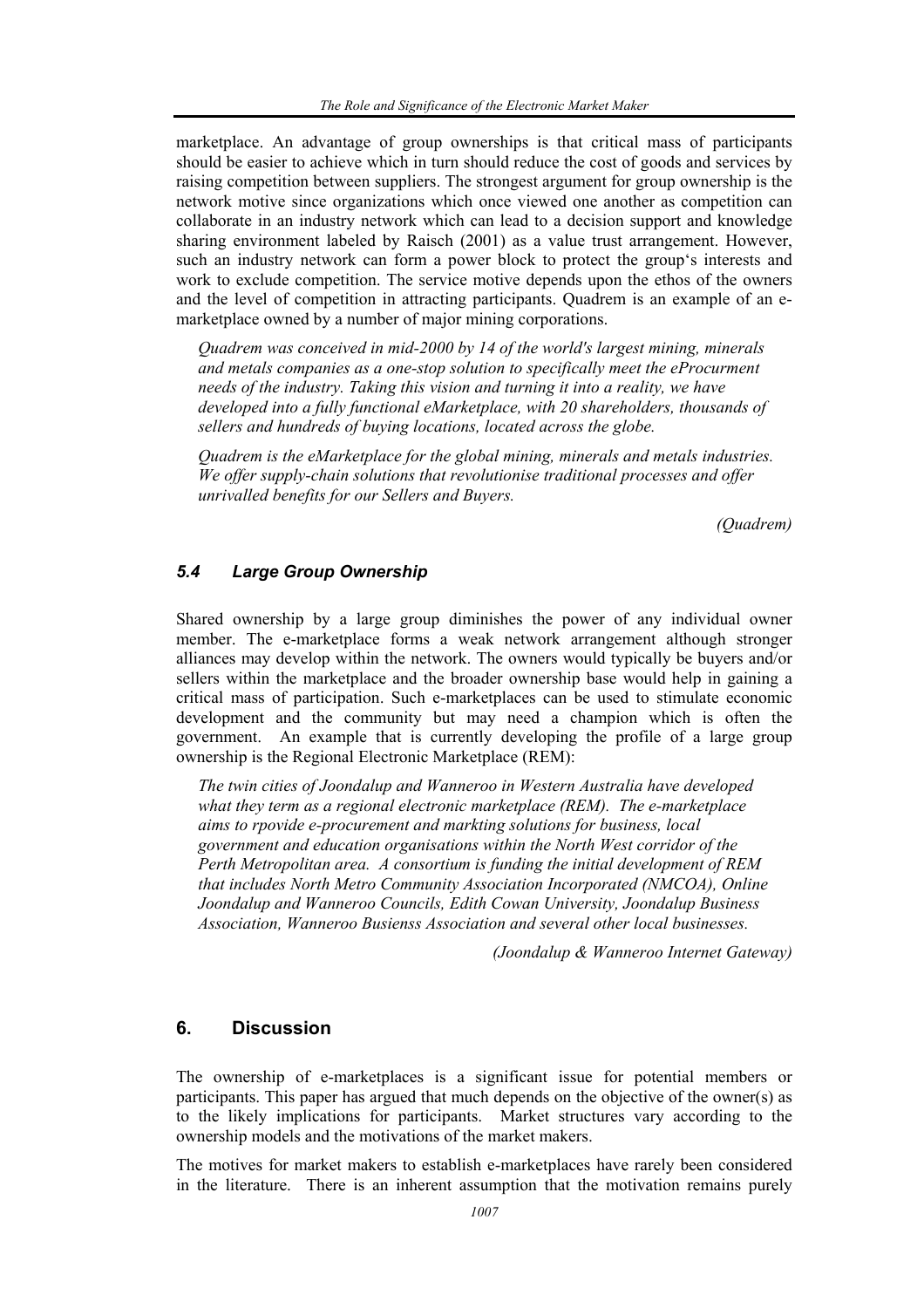marketplace. An advantage of group ownerships is that critical mass of participants should be easier to achieve which in turn should reduce the cost of goods and services by raising competition between suppliers. The strongest argument for group ownership is the network motive since organizations which once viewed one another as competition can collaborate in an industry network which can lead to a decision support and knowledge sharing environment labeled by Raisch (2001) as a value trust arrangement. However, such an industry network can form a power block to protect the group's interests and work to exclude competition. The service motive depends upon the ethos of the owners and the level of competition in attracting participants. Quadrem is an example of an emarketplace owned by a number of major mining corporations.

*Quadrem was conceived in mid-2000 by 14 of the world's largest mining, minerals and metals companies as a one-stop solution to specifically meet the eProcurment needs of the industry. Taking this vision and turning it into a reality, we have developed into a fully functional eMarketplace, with 20 shareholders, thousands of sellers and hundreds of buying locations, located across the globe.* 

*Quadrem is the eMarketplace for the global mining, minerals and metals industries. We offer supply-chain solutions that revolutionise traditional processes and offer unrivalled benefits for our Sellers and Buyers.* 

 *(Quadrem)* 

## *5.4 Large Group Ownership*

Shared ownership by a large group diminishes the power of any individual owner member. The e-marketplace forms a weak network arrangement although stronger alliances may develop within the network. The owners would typically be buyers and/or sellers within the marketplace and the broader ownership base would help in gaining a critical mass of participation. Such e-marketplaces can be used to stimulate economic development and the community but may need a champion which is often the government. An example that is currently developing the profile of a large group ownership is the Regional Electronic Marketplace (REM):

*The twin cities of Joondalup and Wanneroo in Western Australia have developed what they term as a regional electronic marketplace (REM). The e-marketplace aims to rpovide e-procurement and markting solutions for business, local government and education organisations within the North West corridor of the Perth Metropolitan area. A consortium is funding the initial development of REM that includes North Metro Community Association Incorporated (NMCOA), Online Joondalup and Wanneroo Councils, Edith Cowan University, Joondalup Business Association, Wanneroo Busienss Association and several other local businesses.* 

*(Joondalup & Wanneroo Internet Gateway)* 

## **6. Discussion**

The ownership of e-marketplaces is a significant issue for potential members or participants. This paper has argued that much depends on the objective of the owner(s) as to the likely implications for participants. Market structures vary according to the ownership models and the motivations of the market makers.

The motives for market makers to establish e-marketplaces have rarely been considered in the literature. There is an inherent assumption that the motivation remains purely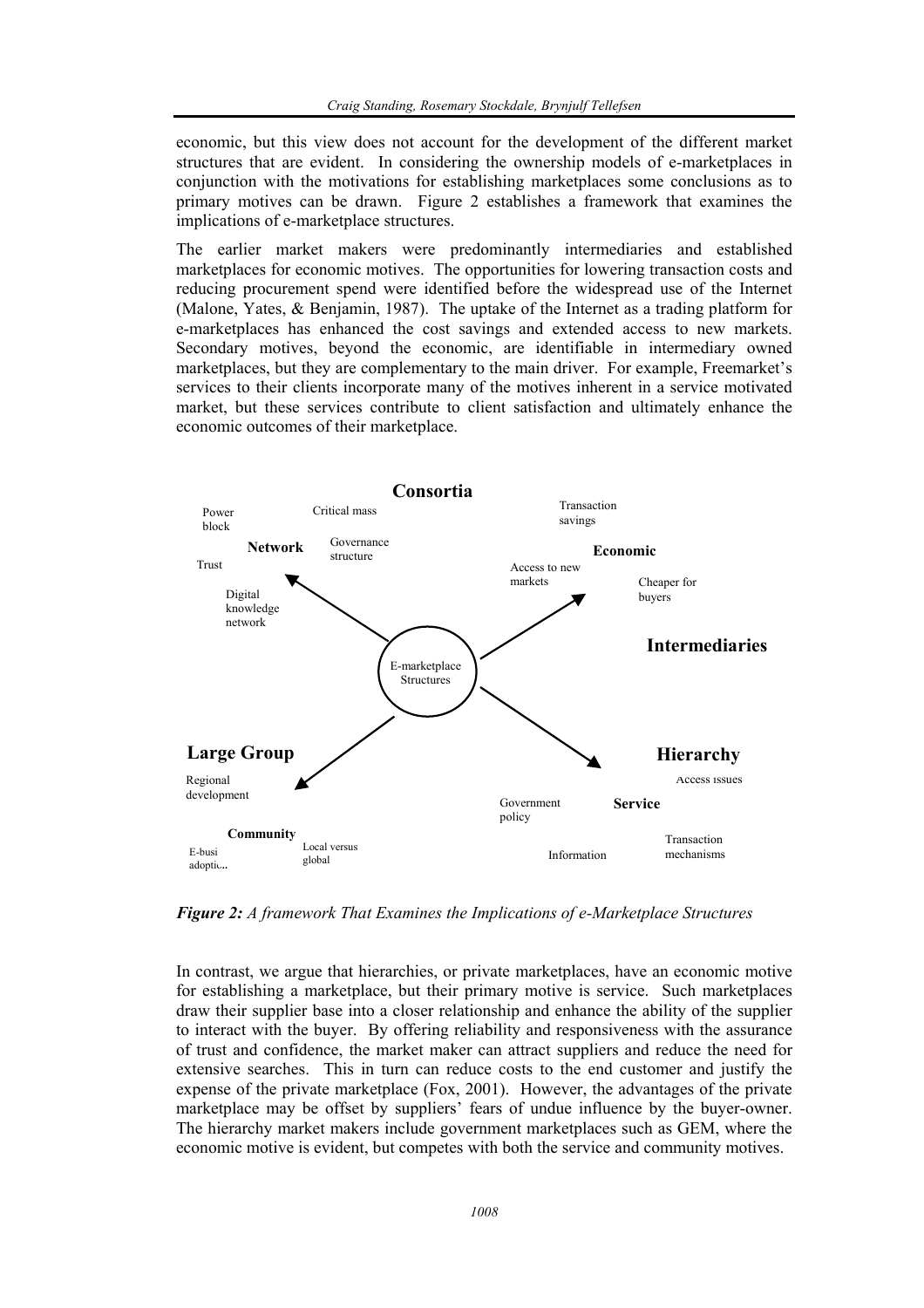economic, but this view does not account for the development of the different market structures that are evident. In considering the ownership models of e-marketplaces in conjunction with the motivations for establishing marketplaces some conclusions as to primary motives can be drawn. Figure 2 establishes a framework that examines the implications of e-marketplace structures.

The earlier market makers were predominantly intermediaries and established marketplaces for economic motives. The opportunities for lowering transaction costs and reducing procurement spend were identified before the widespread use of the Internet (Malone, Yates, & Benjamin, 1987). The uptake of the Internet as a trading platform for e-marketplaces has enhanced the cost savings and extended access to new markets. Secondary motives, beyond the economic, are identifiable in intermediary owned marketplaces, but they are complementary to the main driver. For example, Freemarket's services to their clients incorporate many of the motives inherent in a service motivated market, but these services contribute to client satisfaction and ultimately enhance the economic outcomes of their marketplace.



*Figure 2: A framework That Examines the Implications of e-Marketplace Structures* 

In contrast, we argue that hierarchies, or private marketplaces, have an economic motive for establishing a marketplace, but their primary motive is service. Such marketplaces draw their supplier base into a closer relationship and enhance the ability of the supplier to interact with the buyer. By offering reliability and responsiveness with the assurance of trust and confidence, the market maker can attract suppliers and reduce the need for extensive searches. This in turn can reduce costs to the end customer and justify the expense of the private marketplace (Fox, 2001). However, the advantages of the private marketplace may be offset by suppliers' fears of undue influence by the buyer-owner. The hierarchy market makers include government marketplaces such as GEM, where the economic motive is evident, but competes with both the service and community motives.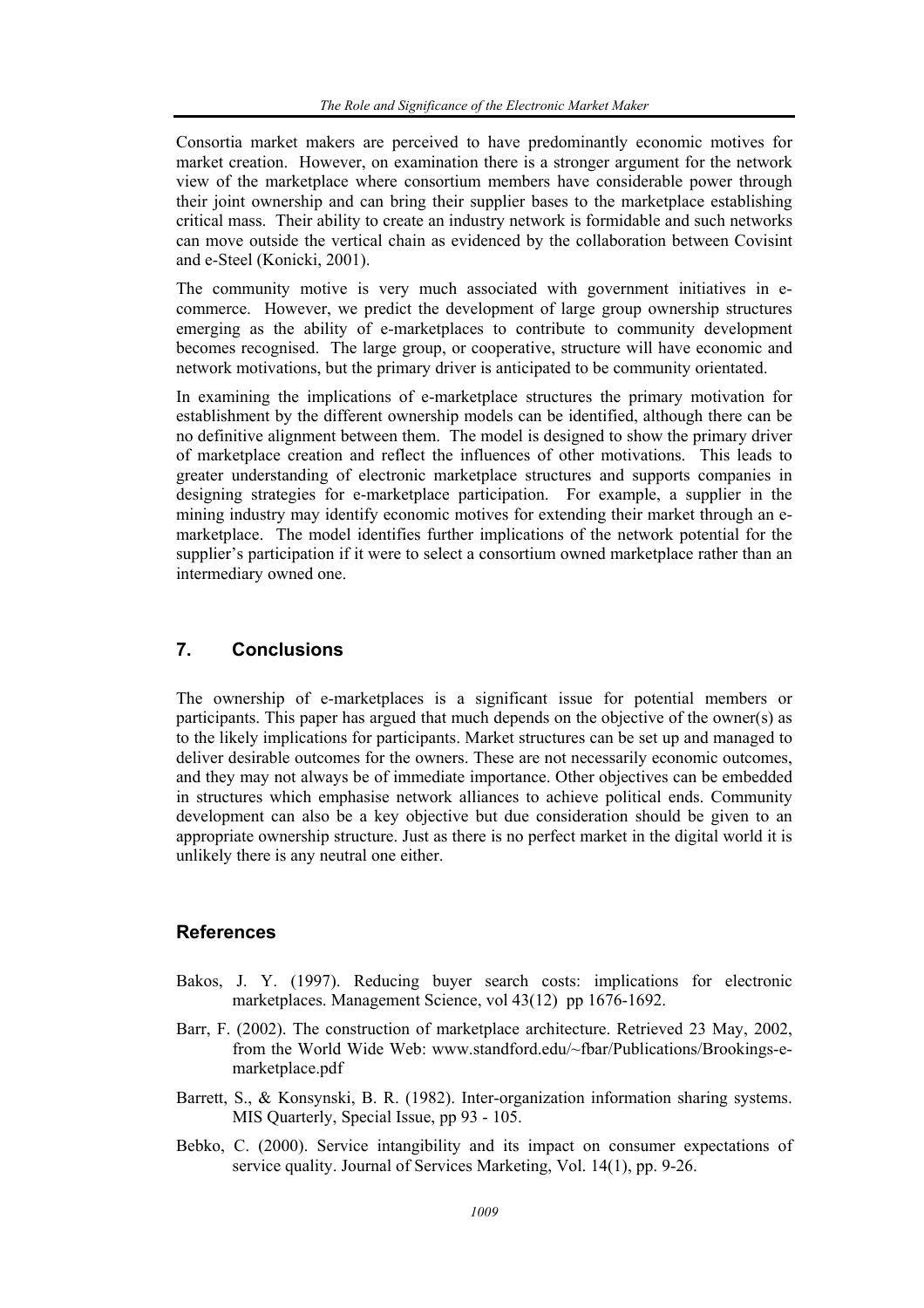Consortia market makers are perceived to have predominantly economic motives for market creation. However, on examination there is a stronger argument for the network view of the marketplace where consortium members have considerable power through their joint ownership and can bring their supplier bases to the marketplace establishing critical mass. Their ability to create an industry network is formidable and such networks can move outside the vertical chain as evidenced by the collaboration between Covisint and e-Steel (Konicki, 2001).

The community motive is very much associated with government initiatives in ecommerce. However, we predict the development of large group ownership structures emerging as the ability of e-marketplaces to contribute to community development becomes recognised. The large group, or cooperative, structure will have economic and network motivations, but the primary driver is anticipated to be community orientated.

In examining the implications of e-marketplace structures the primary motivation for establishment by the different ownership models can be identified, although there can be no definitive alignment between them. The model is designed to show the primary driver of marketplace creation and reflect the influences of other motivations. This leads to greater understanding of electronic marketplace structures and supports companies in designing strategies for e-marketplace participation. For example, a supplier in the mining industry may identify economic motives for extending their market through an emarketplace. The model identifies further implications of the network potential for the supplier's participation if it were to select a consortium owned marketplace rather than an intermediary owned one.

# **7. Conclusions**

The ownership of e-marketplaces is a significant issue for potential members or participants. This paper has argued that much depends on the objective of the owner(s) as to the likely implications for participants. Market structures can be set up and managed to deliver desirable outcomes for the owners. These are not necessarily economic outcomes, and they may not always be of immediate importance. Other objectives can be embedded in structures which emphasise network alliances to achieve political ends. Community development can also be a key objective but due consideration should be given to an appropriate ownership structure. Just as there is no perfect market in the digital world it is unlikely there is any neutral one either.

## **References**

- Bakos, J. Y. (1997). Reducing buyer search costs: implications for electronic marketplaces. Management Science, vol 43(12) pp 1676-1692.
- Barr, F. (2002). The construction of marketplace architecture. Retrieved 23 May, 2002, from the World Wide Web: www.standford.edu/~fbar/Publications/Brookings-emarketplace.pdf
- Barrett, S., & Konsynski, B. R. (1982). Inter-organization information sharing systems. MIS Quarterly, Special Issue, pp 93 - 105.
- Bebko, C. (2000). Service intangibility and its impact on consumer expectations of service quality. Journal of Services Marketing, Vol. 14(1), pp. 9-26.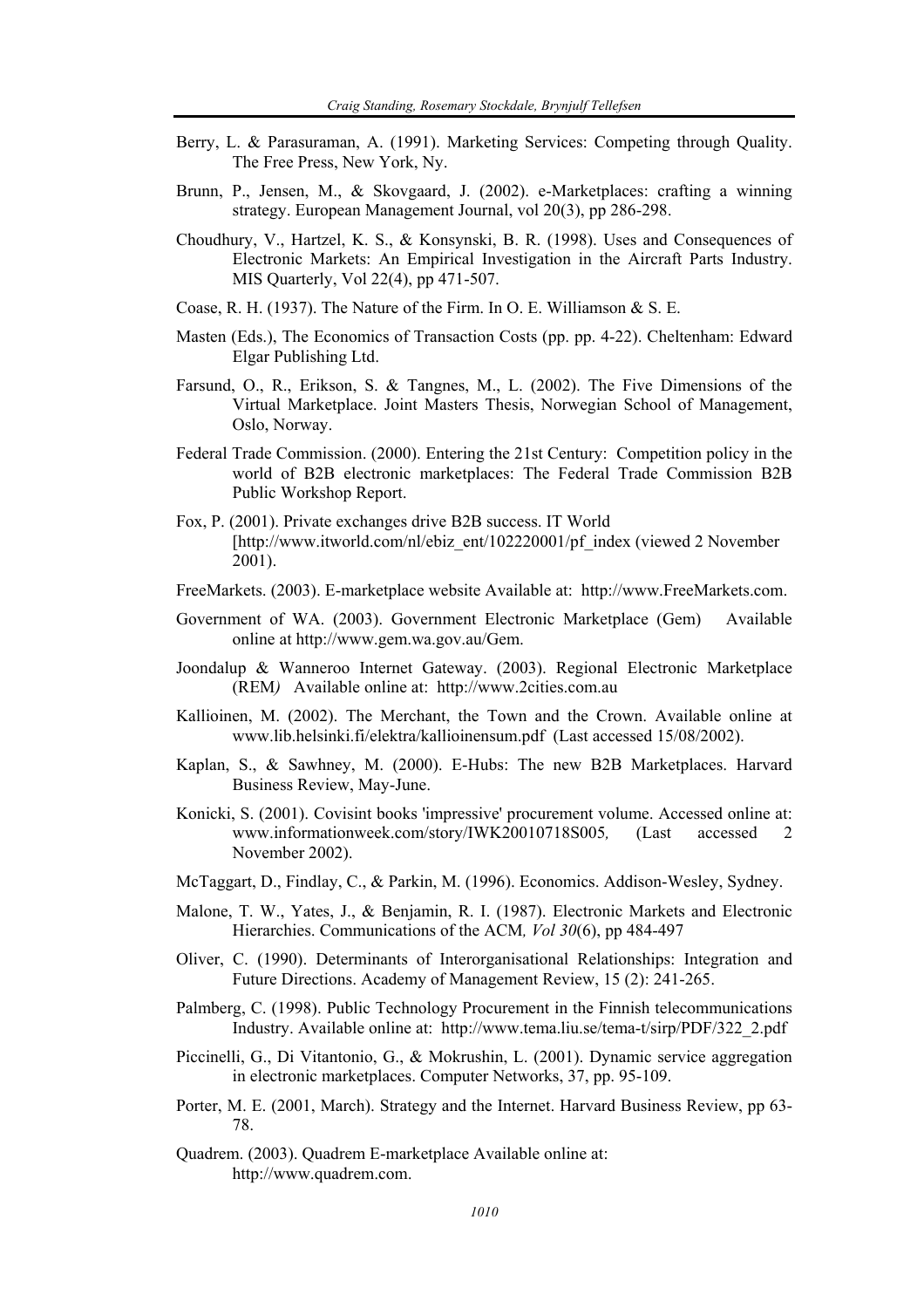- Berry, L. & Parasuraman, A. (1991). Marketing Services: Competing through Quality. The Free Press, New York, Ny.
- Brunn, P., Jensen, M., & Skovgaard, J. (2002). e-Marketplaces: crafting a winning strategy. European Management Journal, vol 20(3), pp 286-298.
- Choudhury, V., Hartzel, K. S., & Konsynski, B. R. (1998). Uses and Consequences of Electronic Markets: An Empirical Investigation in the Aircraft Parts Industry. MIS Quarterly, Vol 22(4), pp 471-507.
- Coase, R. H. (1937). The Nature of the Firm. In O. E. Williamson & S. E.
- Masten (Eds.), The Economics of Transaction Costs (pp. pp. 4-22). Cheltenham: Edward Elgar Publishing Ltd.
- Farsund, O., R., Erikson, S. & Tangnes, M., L. (2002). The Five Dimensions of the Virtual Marketplace. Joint Masters Thesis, Norwegian School of Management, Oslo, Norway.
- Federal Trade Commission. (2000). Entering the 21st Century: Competition policy in the world of B2B electronic marketplaces: The Federal Trade Commission B2B Public Workshop Report.
- Fox, P. (2001). Private exchanges drive B2B success. IT World [http://www.itworld.com/nl/ebiz\_ent/102220001/pf\_index (viewed 2 November 2001).
- FreeMarkets. (2003). E-marketplace website Available at: http://www.FreeMarkets.com.
- Government of WA. (2003). Government Electronic Marketplace (Gem) Available online at http://www.gem.wa.gov.au/Gem.
- Joondalup & Wanneroo Internet Gateway. (2003). Regional Electronic Marketplace (REM*)* Available online at: http://www.2cities.com.au
- Kallioinen, M. (2002). The Merchant, the Town and the Crown. Available online at www.lib.helsinki.fi/elektra/kallioinensum.pdf (Last accessed 15/08/2002).
- Kaplan, S., & Sawhney, M. (2000). E-Hubs: The new B2B Marketplaces. Harvard Business Review, May-June.
- Konicki, S. (2001). Covisint books 'impressive' procurement volume. Accessed online at: www.informationweek.com/story/IWK20010718S005*,* (Last accessed 2 November 2002).
- McTaggart, D., Findlay, C., & Parkin, M. (1996). Economics. Addison-Wesley, Sydney.
- Malone, T. W., Yates, J., & Benjamin, R. I. (1987). Electronic Markets and Electronic Hierarchies. Communications of the ACM*, Vol 30*(6), pp 484-497
- Oliver, C. (1990). Determinants of Interorganisational Relationships: Integration and Future Directions. Academy of Management Review, 15 (2): 241-265.
- Palmberg, C. (1998). Public Technology Procurement in the Finnish telecommunications Industry. Available online at: http://www.tema.liu.se/tema-t/sirp/PDF/322\_2.pdf
- Piccinelli, G., Di Vitantonio, G., & Mokrushin, L. (2001). Dynamic service aggregation in electronic marketplaces. Computer Networks, 37, pp. 95-109.
- Porter, M. E. (2001, March). Strategy and the Internet. Harvard Business Review, pp 63- 78.
- Quadrem. (2003). Quadrem E-marketplace Available online at: http://www.quadrem.com.